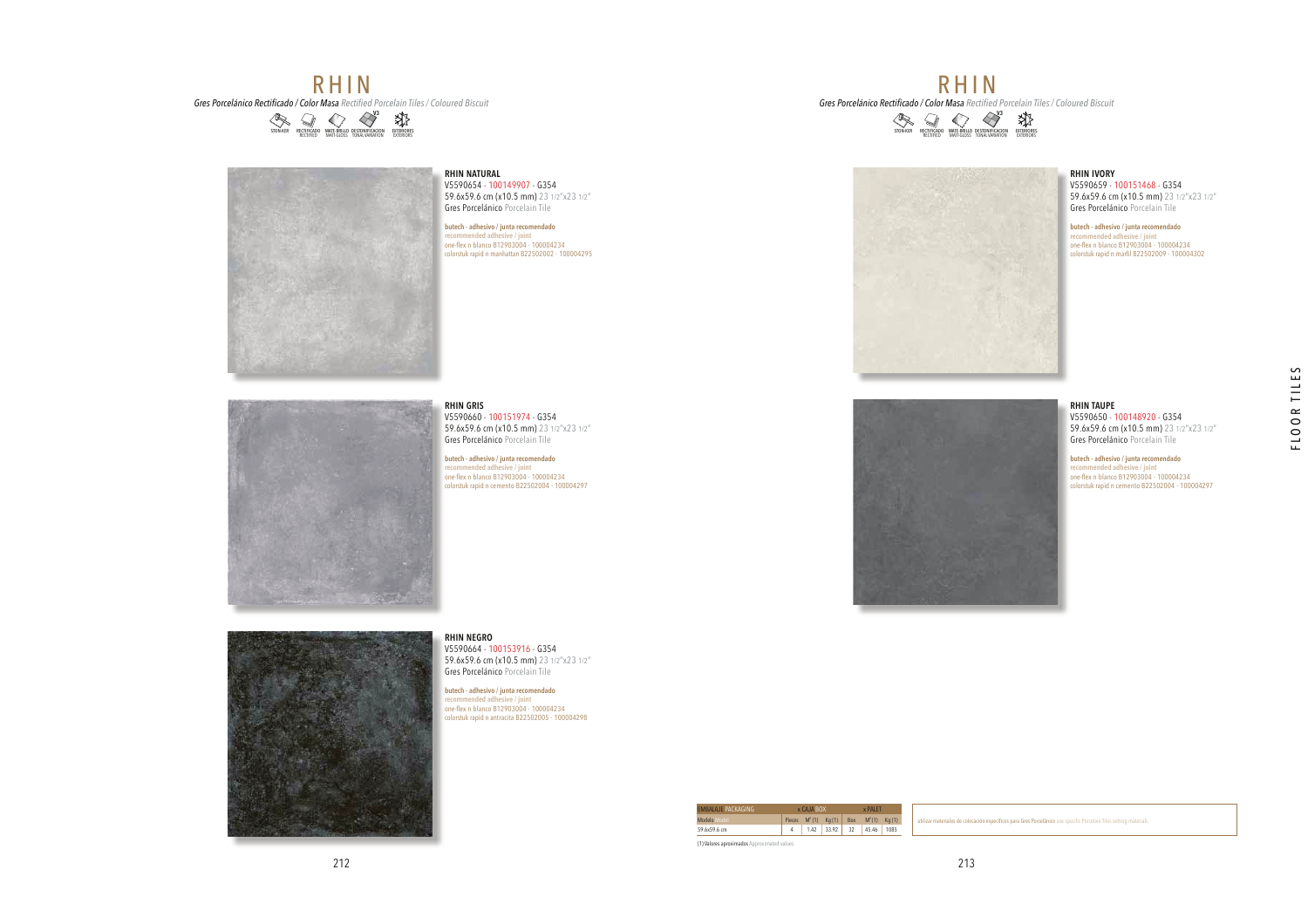# **RHIN Gres Porcelánico Rectificado / Color Masa** Rectified Porcelain Tiles / Coloured Biscuit





## **RHIN NATURAL**

 V5590654 - 100149907 - G354 59.6x59.6 cm (x10.5 mm) 23 1/2"x23 1/2"Gres Porcelánico Porcelain Tile

**butech - adhesivo / junta recomendado recommended adhesive / joint** one-flex n blanco B12903004 - 100004234 colorstuk rapid n manhattan B22502002 - 100004295

#### 59.6x59.6 cm (x10.5 mm) 23 1/2"x23 1/2"Gres Porcelánico Porcelain Tile

V5590660 - 100151974 - G354

**RHIN GRIS**

**butech - adhesivo / junta recomendado<br>recommended adhesive / joint<br>one-flex n blanco B12903004 - 100004234<br>colorstuk rapid n cemento B22502004 - 100004297** 

**RHIN NEGRO**V5590664 - 100153916 - G354 59.6x59.6 cm (x10.5 mm) 23 1/2"x23 1/2"

Gres Porcelánico Porcelain Tile**butech - adhesivo / junta recomendado** 

**recommended adhesive / joint** one-flex n blanco B12903004 - 100004234colorstuk rapid n antracita B22502005 - 100004298



### **RHIN IVORY**

 V5590659 - 100151468 - G354 59.6x59.6 cm (x10.5 mm) 23 1/2"x23 1/2"Gres Porcelánico Porcelain Tile

**butech - adhesivo / junta recomendado recommended adhesive / joint** one-flex n blanco B12903004 - 100004234 colorstuk rapid n marfil B22502009 - 100004302

#### **RHIN TAUPE** V5590650 - 100148920 - G354 59.6x59.6 cm (x10.5 mm) 23 1/2"x23 1/2"Gres Porcelánico Porcelain Tile

FLOOR TILES

**butech - adhesivo / junta recomendado recommended adhesive / joint** one-flex n blanco B12903004 - 100004234 colorstuk rapid n cemento B22502004 - 100004297



**RHIN** 

**Gres Porcelánico Rectificado / Color Masa** Rectified Porcelain Tiles / Coloured Biscuit

DESTONIFICACION TONAL VARIATION**V**3
MATE-BRILLO DESTONICIALO PRETEIDORES<br>RECTIFIED MATE-GLOSS TONAL VARIATION EXTERIORES

iales de colocación específicos para Gres Porcelánico use specific Porcelain Tiles setting materials

Pieces  $M^2(1)$  Kg  $(1)$  Box  $M^2(1)$  Kg  $(1)$ 4 1.42 33.92 32 45.46 1085

x PALET

x CAJA BOX

Modelo Model 59.6x59.6 cmEMBALAJEPACKAGING

(1) Valores aproximados Approximated values